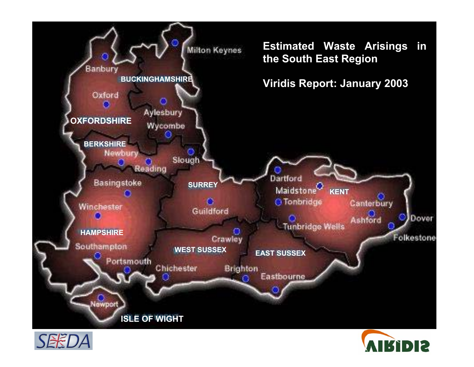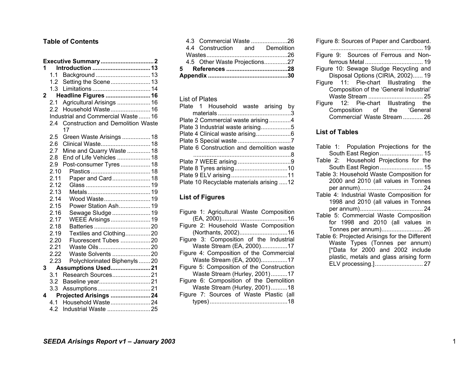#### **Table of Contents**

| 1            |         |                                                |  |
|--------------|---------|------------------------------------------------|--|
|              | 1.1     |                                                |  |
|              | 1.2     | Setting the Scene 13                           |  |
|              | 1.3     |                                                |  |
| $\mathbf{2}$ |         | Headline Figures  16                           |  |
|              | 2.1     | Agricultural Arisings  16                      |  |
|              | 2.2     | Household Waste 16                             |  |
|              |         | Industrial and Commercial Waste  16            |  |
|              | 2.4     | <b>Construction and Demolition Waste</b><br>17 |  |
|              | $2.5\,$ | Green Waste Arisings  18                       |  |
|              | 2.6     | Clinical Waste 18                              |  |
|              | 2.7     | Mine and Quarry Waste  18                      |  |
|              | 2.8     | End of Life Vehicles  18                       |  |
|              | 2.9     | Post-consumer Tyres 18                         |  |
|              | 2.10    |                                                |  |
|              | 2.11    | Paper and Card 18                              |  |
|              | 2.12    |                                                |  |
|              | 2.13    |                                                |  |
|              | 2.14    | Wood Waste 19                                  |  |
|              | 2.15    | Power Station Ash 19                           |  |
|              | 2.16    | Sewage Sludge  19                              |  |
|              | 2.17    | WEEE Arisings 19                               |  |
|              | 2.18    |                                                |  |
|              | 2.19    | Textiles and Clothing20                        |  |
|              | 2.20    | Fluorescent Tubes 20                           |  |
|              | 2.21    | Waste Oils20                                   |  |
|              | 2.22    | Waste Solvents 20                              |  |
|              | 2.23    | Polychlorinated Biphenyls  20                  |  |
| 3            |         | Assumptions Used21                             |  |
|              | 3.1     | Research Sources21                             |  |
|              | 3.2     |                                                |  |
|              | 3.3     |                                                |  |
| 4            |         | Projected Arisings 24                          |  |
|              | 4.1     | Household Waste24                              |  |
|              | 4.2     | Industrial Waste 25                            |  |

|  |  | 4.5 Other Waste Projections27   |  |  |  |  |
|--|--|---------------------------------|--|--|--|--|
|  |  |                                 |  |  |  |  |
|  |  | 4.4 Construction and Demolition |  |  |  |  |
|  |  | 4.3 Commercial Waste 26         |  |  |  |  |

#### List of Plates

| Plate 2 Commercial waste arising4         |  |
|-------------------------------------------|--|
| Plate 3 Industrial waste arising5         |  |
| Plate 4 Clinical waste arising6           |  |
|                                           |  |
| Plate 6 Construction and demolition waste |  |
|                                           |  |
|                                           |  |
|                                           |  |
|                                           |  |
| Plate 10 Recyclable materials arising 12  |  |

### **List of Figures**

| Figure 1: Agricultural Waste Composition  |
|-------------------------------------------|
|                                           |
| Figure 2: Household Waste Composition     |
| (Northants, 2002)16                       |
| Figure 3: Composition of the Industrial   |
| Waste Stream (EA, 2000)17                 |
| Figure 4: Composition of the Commercial   |
| Waste Stream (EA, 2000)17                 |
| Figure 5: Composition of the Construction |
| Waste Stream (Hurley, 2001)17             |
| Figure 6: Composition of the Demolition   |
| Waste Stream (Hurley, 2001)18             |
| Figure 7: Sources of Waste Plastic (all   |
|                                           |

| Figure 8: Sources of Paper and Cardboard. |  |  |  |  |  |  |  |
|-------------------------------------------|--|--|--|--|--|--|--|
|                                           |  |  |  |  |  |  |  |
| Figure 9: Sources of Ferrous and Non-     |  |  |  |  |  |  |  |
|                                           |  |  |  |  |  |  |  |
| Figure 10: Sewage Sludge Recycling and    |  |  |  |  |  |  |  |
| Disposal Options (CIRIA, 2002) 19         |  |  |  |  |  |  |  |
| Figure 11: Pie-chart Illustrating the     |  |  |  |  |  |  |  |
| Composition of the 'General Industrial'   |  |  |  |  |  |  |  |
|                                           |  |  |  |  |  |  |  |
| Figure 12: Pie-chart Illustrating the     |  |  |  |  |  |  |  |
| Composition of the 'General               |  |  |  |  |  |  |  |
| Commercial' Waste Stream  26              |  |  |  |  |  |  |  |

#### **List of Tables**

| Table 1: Population Projections for the       |
|-----------------------------------------------|
| South East Region  15                         |
| Table 2: Household Projections for the        |
| South East Region  15                         |
| Table 3: Household Waste Composition for      |
| 2000 and 2010 (all values in Tonnes           |
|                                               |
| Table 4: Industrial Waste Composition for     |
| 1998 and 2010 (all values in Tonnes           |
|                                               |
| Table 5: Commercial Waste Composition         |
| for 1998 and 2010 (all values in              |
| Tonnes per annum) 26                          |
| Table 6: Projected Arisings for the Different |
| Waste Types (Tonnes per annum)                |
| [*Data for 2000 and 2002 include              |
| plastic, metals and glass arising form        |
|                                               |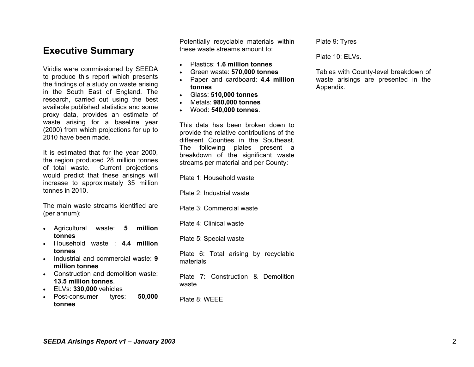# **Executive Summary**

Viridis were commissioned by SEEDA to produce this report which presents the findings of a study on waste arising in the South East of England. The research, carried out using the best available published statistics and some proxy data, provides an estimate of waste arising for a baseline year (2000) from which projections for up to 2010 have been made.

It is estimated that for the year 2000, the region produced 28 million tonnes of total waste. Current projections would predict that these arisings will increase to approximately 35 million tonnes in 2010.

The main waste streams identified are (per annum):

- Agricultural waste: **5 million tonnes**
- Household waste : **4.4 million tonnes**
- Industrial and commercial waste: **9 million tonnes**
- Construction and demolition waste: **13.5 million tonnes**.
- ELVs: **330,000** vehicles
- Post-consumer tyres: **50,000 tonnes**

Potentially recyclable materials within these waste streams amount to:

- •Plastics: **1.6 million tonnes**
- •Green waste: **570,000 tonnes**
- • Paper and cardboard: **4.4 million tonnes**
- Glass: **510,000 tonnes**
- •Metals: **980,000 tonnes**
- Wood: **540,000 tonnes**.

This data has been broken down to provide the relative contributions of the different Counties in the Southeast. The following plates present a breakdown of the significant waste streams per material and per County:

Plate 1: Household waste

Plate 2: Industrial waste

Plate 3: Commercial waste

Plate 4: Clinical waste

Plate 5: Special waste

Plate 6: Total arising by recyclable materials

Plate 7: Construction & Demolition waste

Plate 8: WEEE

Plate 9: Tyres

Plate 10: ELVs.

Tables with County-level breakdown of waste arisings are presented in the Appendix.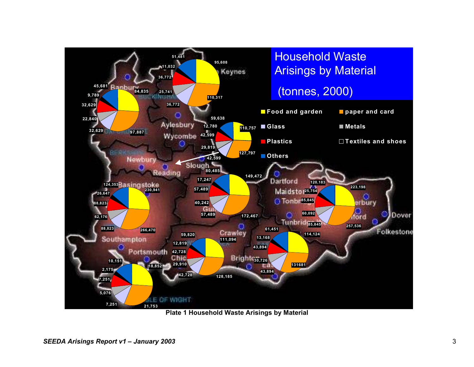

**Plate 1 Household Waste Arisings by Material**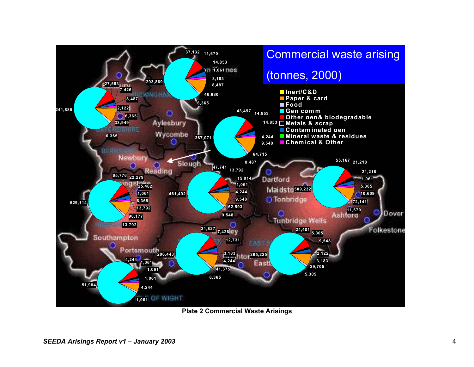

**Plate 2 Commercial Waste Arisings**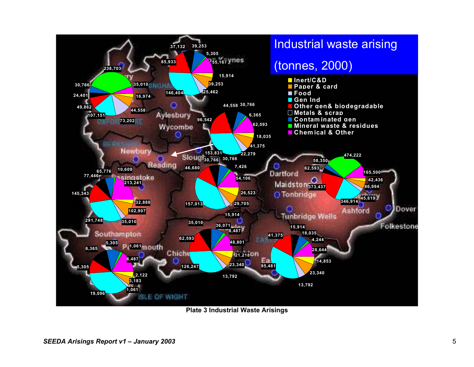

**Plate 3 Industrial Waste Arisings**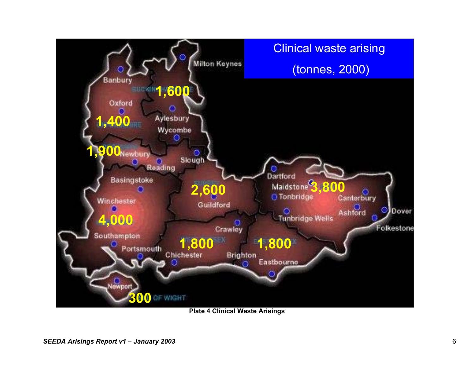

**Plate 4 Clinical Waste Arisings**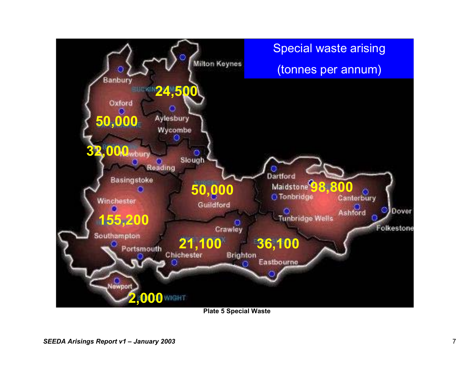

**Plate 5 Special Waste**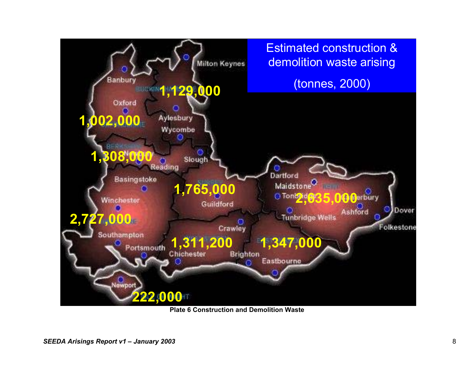

**Plate 6 Construction and Demolition Waste**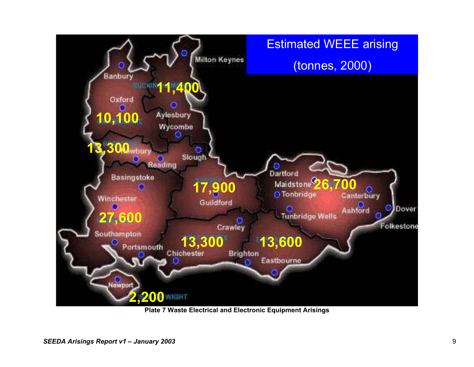

**Plate 7 Waste Electrical and Electronic Equipment Arisings**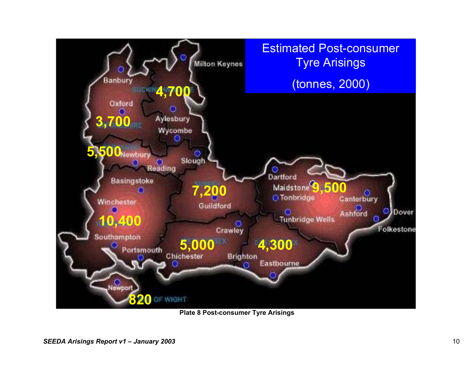

**Plate 8 Post-consumer Tyre Arisings**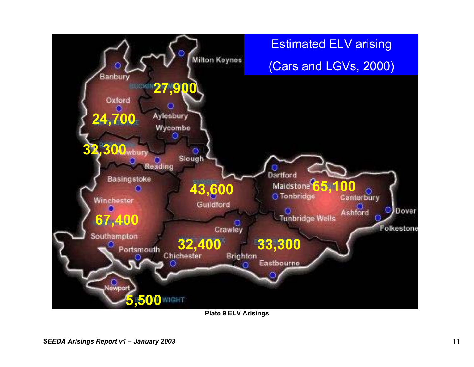

**Plate 9 ELV Arisings**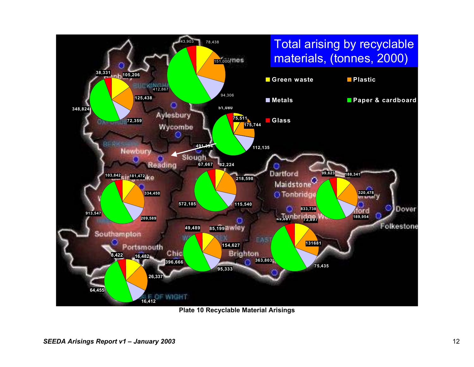

**Plate 10 Recyclable Material Arisings**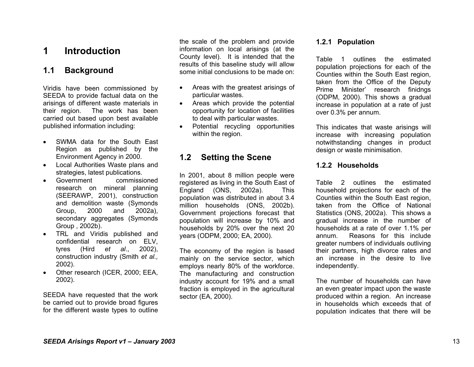# **1 Introduction**

## **1.1 Background**

Viridis have been commissioned by SEEDA to provide factual data on the arisings of different waste materials in their region. The work has been carried out based upon best available published information including:

- SWMA data for the South East Region as published by the Environment Agency in 2000.
- Local Authorities Waste plans and strategies, latest publications.
- Government commissioned research on mineral planning (SEERAWP, 2001), construction and demolition waste (Symonds Group, 2000 and 2002a), secondary aggregates (Symonds Group , 2002b).
- TRL and Viridis published and confidential research on ELV, tyres (Hird *et al*., 2002), construction industry (Smith *et al.,*  2002).
- Other research (ICER, 2000; EEA, 2002).

SEEDA have requested that the work be carried out to provide broad figures for the different waste types to outline

the scale of the problem and provide information on local arisings (at the County level). It is intended that the results of this baseline study will allow some initial conclusions to be made on:

- Areas with the greatest arisings of particular wastes.
- Areas which provide the potential opportunity for location of facilities to deal with particular wastes.
- Potential recycling opportunities within the region.

## **1.2 Setting the Scene**

In 2001, about 8 million people were registered as living in the South East of England (ONS, 2002a). This population was distributed in about 3.4 million households (ONS, 2002b). Government projections forecast that population will increase by 10% and households by 20% over the next 20 years (ODPM, 2000; EA, 2000).

The economy of the region is based mainly on the service sector, which employs nearly 80% of the workforce. The manufacturing and construction industry account for 19% and a small fraction is employed in the agricultural sector (EA, 2000).

#### **1.2.1 Population**

Table 1 outlines the estimated population projections for each of the Counties within the South East region, taken from the Office of the Deputy Prime Minister' research finidngs (ODPM, 2000). This shows a gradual increase in population at a rate of just over 0.3% per annum.

This indicates that waste arisings will increase with increasing population notwithstanding changes in product design or waste minimisation.

#### **1.2.2 Households**

Table 2 outlines the estimated household projections for each of the Counties within the South East region, taken from the Office of National Statistics (ONS, 2002a). This shows a gradual increase in the number of households at a rate of over 1.1% per annum. Reasons for this include greater numbers of individuals outliving their partners, high divorce rates and an increase in the desire to live independently.

The number of households can have an even greater impact upon the waste produced within a region. An increase in households which exceeds that of population indicates that there will be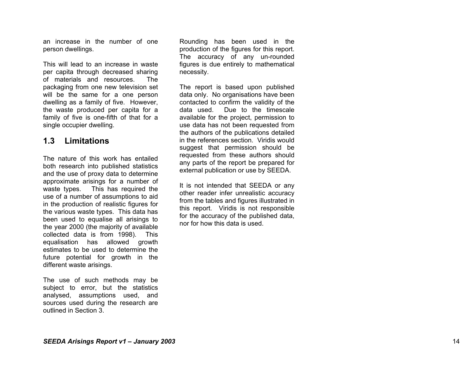an increase in the number of one person dwellings.

This will lead to an increase in waste per capita through decreased sharing of materials and resources. The packaging from one new television set will be the same for a one person dwelling as a family of five. However, the waste produced per capita for a family of five is one-fifth of that for a single occupier dwelling.

## **1.3 Limitations**

The nature of this work has entailed both research into published statistics and the use of proxy data to determine approximate arisings for a number of waste types. This has required the use of a number of assumptions to aid in the production of realistic figures for the various waste types. This data has been used to equalise all arisings to the year 2000 (the majority of available collected data is from 1998). This equalisation has allowed growth estimates to be used to determine the future potential for growth in the different waste arisings.

The use of such methods may be subject to error, but the statistics analysed, assumptions used, and sources used during the research are outlined in Section 3.

Rounding has been used in the production of the figures for this report. The accuracy of any un-rounded figures is due entirely to mathematical necessity.

The report is based upon published data only. No organisations have been contacted to confirm the validity of the data used. Due to the timescale available for the project, permission to use data has not been requested from the authors of the publications detailed in the references section. Viridis would suggest that permission should be requested from these authors should any parts of the report be prepared for external publication or use by SEEDA.

It is not intended that SEEDA or any other reader infer unrealistic accuracy from the tables and figures illustrated in this report. Viridis is not responsible for the accuracy of the published data, nor for how this data is used.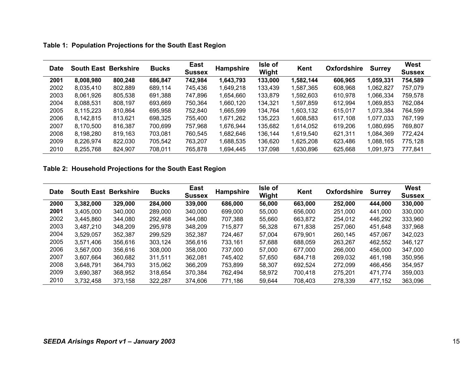|  |  |  | Table 1: Population Projections for the South East Region |
|--|--|--|-----------------------------------------------------------|
|--|--|--|-----------------------------------------------------------|

| <b>Date</b> | <b>South East Berkshire</b> |         | <b>Bucks</b> | East<br><b>Sussex</b> | <b>Hampshire</b> | Isle of<br>Wight | Kent      | <b>Oxfordshire</b> | <b>Surrey</b> | West<br><b>Sussex</b> |
|-------------|-----------------------------|---------|--------------|-----------------------|------------------|------------------|-----------|--------------------|---------------|-----------------------|
| 2001        | 8,008,980                   | 800,248 | 686,847      | 742,984               | 1,643,793        | 133,000          | 1,582,144 | 606,965            | 1,059,331     | 754,589               |
| 2002        | 8,035,410                   | 802,889 | 689,114      | 745,436               | 1,649,218        | 133,439          | 1,587,365 | 608,968            | 1,062,827     | 757,079               |
| 2003        | 8,061,926                   | 805,538 | 691,388      | 747,896               | 1,654,660        | 133,879          | 1,592,603 | 610,978            | 1,066,334     | 759,578               |
| 2004        | 8,088,531                   | 808,197 | 693,669      | 750,364               | 1,660,120        | 134,321          | 1,597,859 | 612,994            | 1,069,853     | 762,084               |
| 2005        | 8,115,223                   | 810,864 | 695,958      | 752,840               | 1,665,599        | 134,764          | 1,603,132 | 615,017            | 1,073,384     | 764,599               |
| 2006        | 8,142,815                   | 813,621 | 698,325      | 755.400               | 1,671,262        | 135,223          | 1,608,583 | 617,108            | 1,077,033     | 767.199               |
| 2007        | 8,170,500                   | 816,387 | 700,699      | 757,968               | 1,676,944        | 135,682          | 1,614,052 | 619,206            | 1,080,695     | 769,807               |
| 2008        | 8,198,280                   | 819,163 | 703,081      | 760,545               | 1,682,646        | 136,144          | 1,619,540 | 621,311            | 1,084,369     | 772,424               |
| 2009        | 8,226,974                   | 822,030 | 705,542      | 763,207               | 1,688,535        | 136,620          | 1,625,208 | 623,486            | 1,088,165     | 775,128               |
| 2010        | 8,255,768                   | 824,907 | 708,011      | 765,878               | 1,694,445        | 137,098          | 1,630,896 | 625,668            | 1,091,973     | 777,841               |

## **Table 2: Household Projections for the South East Region**

| <b>Date</b> | <b>South East</b> | <b>Berkshire</b> | <b>Bucks</b> | East<br><b>Sussex</b> | <b>Hampshire</b> | Isle of<br>Wight | Kent    | Oxfordshire | <b>Surrey</b> | <b>West</b><br><b>Sussex</b> |
|-------------|-------------------|------------------|--------------|-----------------------|------------------|------------------|---------|-------------|---------------|------------------------------|
| 2000        | 3,382,000         | 329,000          | 284,000      | 339,000               | 686,000          | 56,000           | 663,000 | 252,000     | 444,000       | 330,000                      |
| 2001        | 3.405.000         | 340,000          | 289,000      | 340,000               | 699,000          | 55,000           | 656,000 | 251,000     | 441.000       | 330,000                      |
| 2002        | 3,445,860         | 344,080          | 292,468      | 344.080               | 707,388          | 55,660           | 663,872 | 254.012     | 446.292       | 333.960                      |
| 2003        | 3,487,210         | 348,209          | 295,978      | 348,209               | 715,877          | 56,328           | 671.838 | 257,060     | 451.648       | 337,968                      |
| 2004        | 3,529,057         | 352,387          | 299,529      | 352,387               | 724.467          | 57.004           | 679,901 | 260,145     | 457,067       | 342,023                      |
| 2005        | 3.571.406         | 356,616          | 303.124      | 356,616               | 733,161          | 57.688           | 688,059 | 263.267     | 462,552       | 346.127                      |
| 2006        | 3,567,000         | 356,616          | 308,000      | 358,000               | 737,000          | 57,000           | 677,000 | 266,000     | 456,000       | 347,000                      |
| 2007        | 3.607.664         | 360.682          | 311.511      | 362.081               | 745.402          | 57.650           | 684.718 | 269.032     | 461.198       | 350,956                      |
| 2008        | 3,648,791         | 364.793          | 315,062      | 366,209               | 753.899          | 58.307           | 692,524 | 272,099     | 466,456       | 354,957                      |
| 2009        | 3,690,387         | 368,952          | 318,654      | 370.384               | 762,494          | 58.972           | 700,418 | 275.201     | 471,774       | 359,003                      |
| 2010        | 3,732,458         | 373,158          | 322,287      | 374,606               | 771,186          | 59,644           | 708,403 | 278,339     | 477,152       | 363,096                      |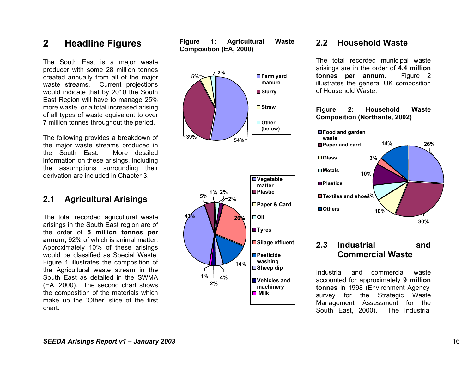# **2 Headline Figures**

The South East is a major waste producer with some 28 million tonnes created annually from all of the major waste streams. Current projections would indicate that by 2010 the South East Region will have to manage 25% more waste, or a total increased arising of all types of waste equivalent to over 7 million tonnes throughout the period.

The following provides a breakdown of the major waste streams produced in the South East. More detailed information on these arisings, including the assumptions surrounding their derivation are included in Chapter 3.

## **2.1 Agricultural Arisings**

The total recorded agricultural waste arisings in the South East region are of the order of **5 million tonnes per annum**, 92% of which is animal matter. Approximately 10% of these arisings would be classified as Special Waste. Figure 1 illustrates the composition of the Agricultural waste stream in the South East as detailed in the SWMA (EA, 2000). The second chart shows the composition of the materials which make up the 'Other' slice of the first chart.

**Figure 1: Agricultural Waste Composition (EA, 2000)** 



### **2.2 Household Waste**

The total recorded municipal waste arisings are in the order of **4.4 million tonnes per annum**. Figure 2 illustrates the general UK composition of Household Waste.

#### **Figure 2: Household Waste Composition (Northants, 2002)**



## **2.3 Industrial and Commercial Waste**

Industrial and commercial waste accounted for approximately **9 million tonnes** in 1998 (Environment Agency' survey for the Strategic Waste Management Assessment for the South East, 2000). The Industrial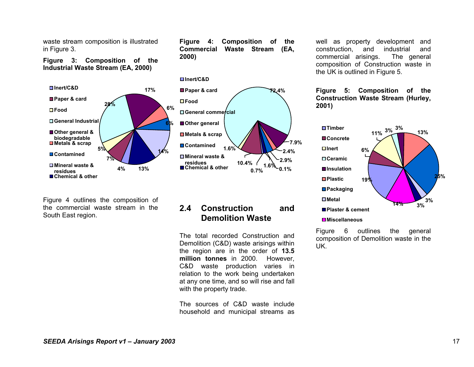waste stream composition is illustrated in Figure 3.

**Figure 3: Composition of the Industrial Waste Stream (EA, 2000)** 



**2000)** 

Figure 4 outlines the composition of the commercial waste stream in the South East region.

## **2.4 Construction and Demolition Waste**

**2.4%7.9%**

 **0.1%2.9%**

**72.4%**

**Figure 4: Composition of the Commercial Waste Stream (EA,** 

The total recorded Construction and Demolition (C&D) waste arisings within the region are in the order of **13.5 million tonnes** in 2000. However, C&D waste production varies in relation to the work being undertaken at any one time, and so will rise and fall with the property trade.

The sources of C&D waste include household and municipal streams as well as property development and construction, and industrial and commercial arisings. The general composition of Construction waste in the UK is outlined in Figure 5.

#### **Figure 5: Composition of the Construction Waste Stream (Hurley, 2001)**



Figure 6 outlines the general composition of Demolition waste in the UK.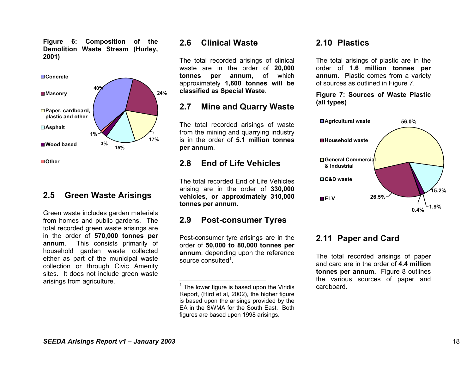**Figure 6: Composition of the Demolition Waste Stream (Hurley, 2001)** 



#### **2.5 Green Waste Arisings**

Green waste includes garden materials from homes and public gardens. The total recorded green waste arisings are in the order of **570,000 tonnes per annum**. This consists primarily of household garden waste collected either as part of the municipal waste collection or through Civic Amenity sites. It does not include green waste arisings from agriculture.

### **2.6 Clinical Waste**

The total recorded arisings of clinical waste are in the order of **20,000 tonnes per annum**, of which approximately **1,600 tonnes will be classified as Special Waste**.

## **2.7 Mine and Quarry Waste**

The total recorded arisings of waste from the mining and quarrying industry is in the order of **5.1 million tonnes per annum**.

# **2.8 End of Life Vehicles**

The total recorded End of Life Vehicles arising are in the order of **330,000 vehicles, or approximately 310,000 tonnes per annum**.

## **2.9 Post-consumer Tyres**

Post-consumer tyre arisings are in the order of **50,000 to 80,000 tonnes per annum**, depending upon the reference source consulted $1$ .

## **2.10 Plastics**

The total arisings of plastic are in the order of **1.6 million tonnes per annum**. Plastic comes from a variety of sources as outlined in Figure 7.

#### **Figure 7: Sources of Waste Plastic (all types)**



## **2.11 Paper and Card**

The total recorded arisings of paper and card are in the order of **4.4 million tonnes per annum.** Figure 8 outlines the various sources of paper and cardboard.

 $1$  The lower figure is based upon the Viridis Report, (Hird et al, 2002), the higher figure is based upon the arisings provided by the EA in the SWMA for the South East. Both figures are based upon 1998 arisings.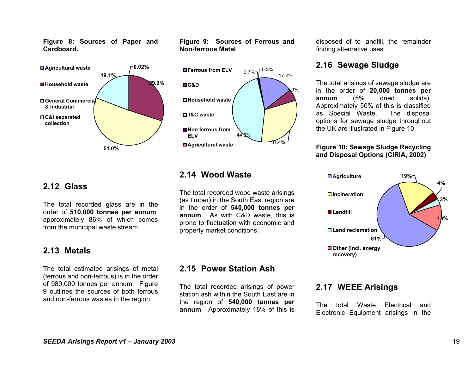**Figure 8: Sources of Paper and Cardboard.** 



#### **Figure 9: Sources of Ferrous and Non-ferrous Metal**



## **2.12 Glass**

The total recorded glass are in the order of **510,000 tonnes per annum**, approximately 86% of which comes from the municipal waste stream.

## **2.13 Metals**

The total estimated arisings of metal (ferrous and non-ferrous) is in the order of 980,000 tonnes per annum. Figure 9 outlines the sources of both ferrous and non-ferrous wastes in the region.

# **2.14 Wood Waste**

The total recorded wood waste arisings (as timber) in the South East region are in the order of **540,000 tonnes per annum**. As with C&D waste, this is prone to fluctuation with economic and property market conditions.

# **2.15 Power Station Ash**

The total recorded arisings of power station ash within the South East are in the region of **540,000 tonnes per annum**. Approximately 18% of this is

disposed of to landfill, the remainder finding alternative uses.

# **2.16 Sewage Sludge**

The total arisings of sewage sludge are in the order of **20,000 tonnes per annum** (5% dried solids). Approximately 50% of this is classified as Special Waste. The disposal options for sewage sludge throughout the UK are illustrated in Figure 10.

#### **Figure 10: Sewage Sludge Recycling and Disposal Options (CIRIA, 2002)**



## **2.17 WEEE Arisings**

The total Waste Electrical and Electronic Equipment arisings in the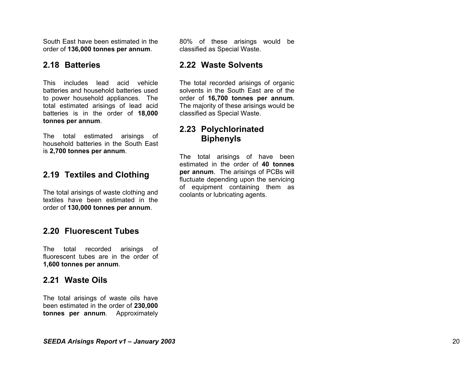South East have been estimated in the order of **136,000 tonnes per annum**.

### **2.18 Batteries**

This includes lead acid vehicle batteries and household batteries used to power household appliances. The total estimated arisings of lead acid batteries is in the order of **18,000 tonnes per annum**.

The total estimated arisings of household batteries in the South East is **2,700 tonnes per annum**.

# **2.19 Textiles and Clothing**

The total arisings of waste clothing and textiles have been estimated in the order of **130,000 tonnes per annum**.

## **2.20 Fluorescent Tubes**

The total recorded arisings of fluorescent tubes are in the order of **1,600 tonnes per annum**.

## **2.21 Waste Oils**

The total arisings of waste oils have been estimated in the order of **230,000 tonnes per annum**. Approximately

80% of these arisings would be classified as Special Waste.

## **2.22 Waste Solvents**

The total recorded arisings of organic solvents in the South East are of the order of **16,700 tonnes per annum**. The majority of these arisings would be classified as Special Waste.

# **2.23 Polychlorinated Biphenyls**

The total arisings of have been estimated in the order of **40 tonnes per annum**. The arisings of PCBs will fluctuate depending upon the servicing of equipment containing them as coolants or lubricating agents.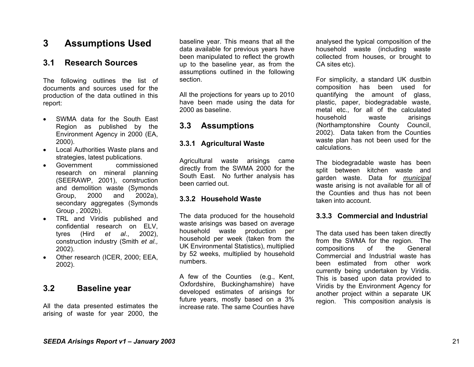# **3 Assumptions Used**

### **3.1 Research Sources**

The following outlines the list of documents and sources used for the production of the data outlined in this report:

- SWMA data for the South East Region as published by the Environment Agency in 2000 (EA, 2000).
- Local Authorities Waste plans and strategies, latest publications.
- Government commissioned research on mineral planning (SEERAWP, 2001), construction and demolition waste (Symonds Group, 2000 and 2002a), secondary aggregates (Symonds Group , 2002b).
- TRL and Viridis published and confidential research on ELV, tyres (Hird *et al*., 2002), construction industry (Smith *et al.,*  2002).
- Other research (ICER, 2000; EEA, 2002).

## **3.2 Baseline year**

All the data presented estimates the arising of waste for year 2000, the

baseline year. This means that all the data available for previous years have been manipulated to reflect the growth up to the baseline year, as from the assumptions outlined in the following section.

All the projections for years up to 2010 have been made using the data for 2000 as baseline.

## **3.3 Assumptions**

#### **3.3.1 Agricultural Waste**

Agricultural waste arisings came directly from the SWMA 2000 for the South East. No further analysis has been carried out.

#### **3.3.2 Household Waste**

The data produced for the household waste arisings was based on average household waste production per household per week (taken from the UK Environmental Statistics), multiplied by 52 weeks, multiplied by household numbers.

A few of the Counties (e.g., Kent, Oxfordshire, Buckinghamshire) have developed estimates of arisings for future years, mostly based on a 3% increase rate. The same Counties have

analysed the typical composition of the household waste (including waste collected from houses, or brought to CA sites etc).

For simplicity, a standard UK dustbin composition has been used for quantifying the amount of glass, plastic, paper, biodegradable waste, metal etc., for all of the calculated household waste arisings (Northamptonshire County Council, 2002). Data taken from the Counties waste plan has not been used for the calculations.

The biodegradable waste has been split between kitchen waste and garden waste. Data for *municipal* waste arising is not available for all of the Counties and thus has not been taken into account.

#### **3.3.3 Commercial and Industrial**

The data used has been taken directly from the SWMA for the region. The compositions of the General Commercial and Industrial waste has been estimated from other work currently being undertaken by Viridis. This is based upon data provided to Viridis by the Environment Agency for another project within a separate UK region. This composition analysis is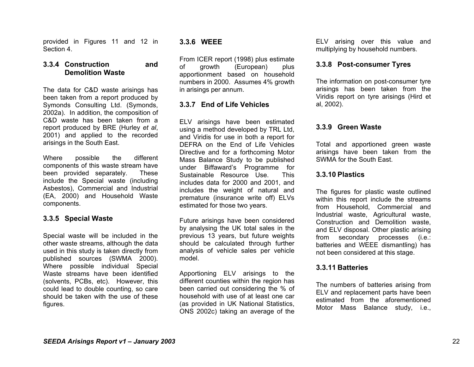provided in Figures 11 and 12 in Section 4.

#### **3.3.4 Construction and Demolition Waste**

The data for C&D waste arisings has been taken from a report produced by Symonds Consulting Ltd. (Symonds, 2002a). In addition, the composition of C&D waste has been taken from a report produced by BRE (Hurley *et al*, 2001) and applied to the recorded arisings in the South East.

Where possible the different components of this waste stream have been provided separately. These include the Special waste (including Asbestos), Commercial and Industrial (EA, 2000) and Household Waste components.

#### **3.3.5 Special Waste**

Special waste will be included in the other waste streams, although the data used in this study is taken directly from published sources (SWMA 2000). Where possible individual Special Waste streams have been identified (solvents, PCBs, etc). However, this could lead to double counting, so care should be taken with the use of these figures.

#### **3.3.6 WEEE**

From ICER report (1998) plus estimate of growth (European) plus apportionment based on household numbers in 2000. Assumes 4% growth in arisings per annum.

#### **3.3.7 End of Life Vehicles**

ELV arisings have been estimated using a method developed by TRL Ltd, and Viridis for use in both a report for DEFRA on the End of Life Vehicles Directive and for a forthcoming Motor Mass Balance Study to be published under Biffaward's Programme for Sustainable Resource Use. This includes data for 2000 and 2001, and includes the weight of natural and premature (insurance write off) ELVs estimated for those two years.

Future arisings have been considered by analysing the UK total sales in the previous 13 years, but future weights should be calculated through further analysis of vehicle sales per vehicle model.

Apportioning ELV arisings to the different counties within the region has been carried out considering the % of household with use of at least one car (as provided in UK National Statistics, ONS 2002c) taking an average of the

ELV arising over this value and multiplying by household numbers.

#### **3.3.8 Post-consumer Tyres**

The information on post-consumer tyre arisings has been taken from the Viridis report on tyre arisings (Hird et al, 2002).

#### **3.3.9 Green Waste**

Total and apportioned green waste arisings have been taken from the SWMA for the South East.

#### **3.3.10 Plastics**

The figures for plastic waste outlined within this report include the streams from Household, Commercial and Industrial waste, Agricultural waste, Construction and Demolition waste, and ELV disposal. Other plastic arising from secondary processes (i.e.: batteries and WEEE dismantling) has not been considered at this stage.

#### **3.3.11 Batteries**

The numbers of batteries arising from ELV and replacement parts have been estimated from the aforementioned Motor Mass Balance study, i.e.,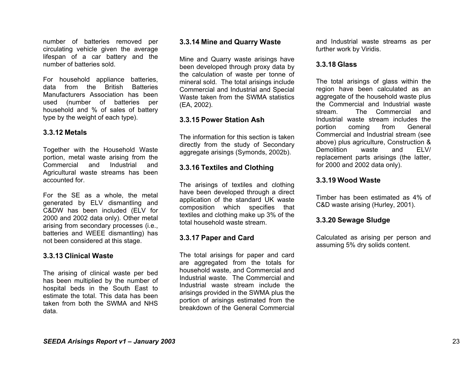number of batteries removed per circulating vehicle given the average lifespan of a car battery and the number of batteries sold.

For household appliance batteries, data from the British Batteries Manufacturers Association has been used (number of batteries per household and % of sales of battery type by the weight of each type).

#### **3.3.12 Metals**

Together with the Household Waste portion, metal waste arising from the Commercial and Industrial and Agricultural waste streams has been accounted for.

For the SE as a whole, the metal generated by ELV dismantling and C&DW has been included (ELV for 2000 and 2002 data only). Other metal arising from secondary processes (i.e., batteries and WEEE dismantling) has not been considered at this stage.

#### **3.3.13 Clinical Waste**

The arising of clinical waste per bed has been multiplied by the number of hospital beds in the South East to estimate the total. This data has been taken from both the SWMA and NHS data.

#### **3.3.14 Mine and Quarry Waste**

Mine and Quarry waste arisings have been developed through proxy data by the calculation of waste per tonne of mineral sold. The total arisings include Commercial and Industrial and Special Waste taken from the SWMA statistics (EA, 2002).

#### **3.3.15 Power Station Ash**

The information for this section is taken directly from the study of Secondary aggregate arisings (Symonds, 2002b).

#### **3.3.16 Textiles and Clothing**

The arisings of textiles and clothing have been developed through a direct application of the standard UK waste composition which specifies that textiles and clothing make up 3% of the total household waste stream.

#### **3.3.17 Paper and Card**

The total arisings for paper and card are aggregated from the totals for household waste, and Commercial and Industrial waste. The Commercial and Industrial waste stream include the arisings provided in the SWMA plus the portion of arisings estimated from the breakdown of the General Commercial

and Industrial waste streams as per further work by Viridis.

#### **3.3.18 Glass**

The total arisings of glass within the region have been calculated as an aggregate of the household waste plus the Commercial and Industrial waste stream. The Commercial and Industrial waste stream includes the portion coming from General Commercial and Industrial stream (see above) plus agriculture, Construction & Demolition waste and FLV/ replacement parts arisings (the latter, for 2000 and 2002 data only).

#### **3.3.19 Wood Waste**

Timber has been estimated as 4% of C&D waste arising (Hurley, 2001).

#### **3.3.20 Sewage Sludge**

Calculated as arising per person and assuming 5% dry solids content.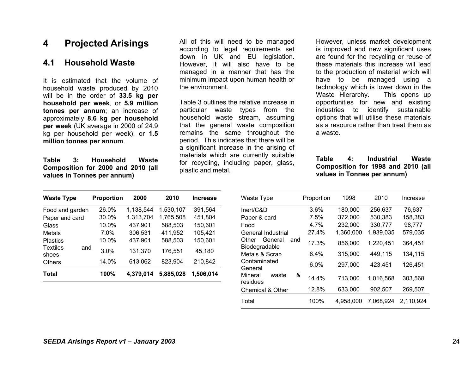# **4 Projected Arisings**

## **4.1 Household Waste**

It is estimated that the volume of household waste produced by 2010 will be in the order of **33.5 kg per household per week**, or **5.9 million tonnes per annum**; an increase of approximately **8.6 kg per household per week** (UK average in 2000 of 24.9 kg per household per week), or **1.5 million tonnes per annum**.

**Table 3: Household Waste Composition for 2000 and 2010 (all values in Tonnes per annum)** 

All of this will need to be managed according to legal requirements set down in UK and EU legislation. However, it will also have to be managed in a manner that has the minimum impact upon human health or the environment.

Table 3 outlines the relative increase in particular waste types from the household waste stream, assuming that the general waste composition remains the same throughout the period. This indicates that there will be a significant increase in the arising of materials which are currently suitable for recycling, including paper, glass, plastic and metal.

However, unless market development is improved and new significant uses are found for the recycling or reuse of these materials this increase will lead to the production of material which will have to be managed using a technology which is lower down in the Waste Hierarchy. This opens up opportunities for new and existing industries to identify sustainable options that will utilise these materials as a resource rather than treat them as a waste.

#### **Table 4: Industrial Waste Composition for 1998 and 2010 (all values in Tonnes per annum)**

| <b>Waste Type</b>               | Proportion | 2000      | 2010      | <b>Increase</b> |
|---------------------------------|------------|-----------|-----------|-----------------|
| Food and garden                 | 26.0%      | 1,138,544 | 1,530,107 | 391,564         |
| Paper and card                  | 30.0%      | 1,313,704 | 1,765,508 | 451,804         |
| Glass                           | 10.0%      | 437,901   | 588,503   | 150,601         |
| Metals                          | 7.0%       | 306,531   | 411,952   | 105,421         |
| <b>Plastics</b>                 | 10.0%      | 437,901   | 588,503   | 150,601         |
| <b>Textiles</b><br>and<br>shoes | 3.0%       | 131,370   | 176,551   | 45.180          |
| <b>Others</b>                   | 14.0%      | 613,062   | 823,904   | 210,842         |
| Total                           | 100%       | 4,379,014 | 5,885,028 | 1,506,014       |

| Waste Type                               | Proportion | 1998      | 2010      | Increase  |
|------------------------------------------|------------|-----------|-----------|-----------|
| Inert/C&D                                | 3.6%       | 180,000   | 256,637   | 76,637    |
| Paper & card                             | 7.5%       | 372,000   | 530,383   | 158,383   |
| Food                                     | 4.7%       | 232,000   | 330,777   | 98,777    |
| General Industrial                       | 27.4%      | 1,360,000 | 1,939,035 | 579,035   |
| Other<br>General<br>and<br>Biodegradable | 17.3%      | 856,000   | 1,220,451 | 364.451   |
| Metals & Scrap                           | 6.4%       | 315,000   | 449,115   | 134.115   |
| Contaminated<br>General                  | 6.0%       | 297,000   | 423,451   | 126,451   |
| &<br>Mineral<br>waste<br>residues        | 14.4%      | 713,000   | 1,016,568 | 303,568   |
| <b>Chemical &amp; Other</b>              | 12.8%      | 633,000   | 902,507   | 269,507   |
| Total                                    | 100%       | 4.958.000 | 7.068.924 | 2.110.924 |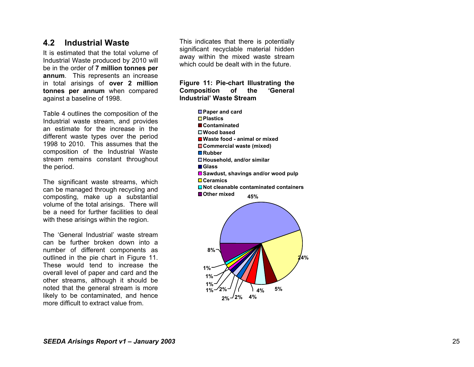### **4.2 Industrial Waste**

It is estimated that the total volume of Industrial Waste produced by 2010 will be in the order of **7 million tonnes per annum**. This represents an increase in total arisings of **over 2 million tonnes per annum** when compared against a baseline of 1998.

Table 4 outlines the composition of the Industrial waste stream, and provides an estimate for the increase in the different waste types over the period 1998 to 2010. This assumes that the composition of the Industrial Waste stream remains constant throughout the period.

The significant waste streams, which can be managed through recycling and composting, make up a substantial volume of the total arisings. There will be a need for further facilities to deal with these arisings within the region.

The 'General Industrial' waste stream can be further broken down into a number of different components as outlined in the pie chart in Figure 11. These would tend to increase the overall level of paper and card and the other streams, although it should be noted that the general stream is more likely to be contaminated, and hence more difficult to extract value from.

This indicates that there is potentially significant recyclable material hidden away within the mixed waste stream which could be dealt with in the future.

**Figure 11: Pie-chart Illustrating the Composition of the 'General Industrial' Waste Stream** 

> **45%Paper and card Plastics ContaminatedWood basedWaste food - animal or mixedCommercial waste (mixed) RubberHousehold, and/or similar Glass**■Sawdust, shavings and/or wood pulp **CeramicsNot cleanable contaminated containersOther mixed**

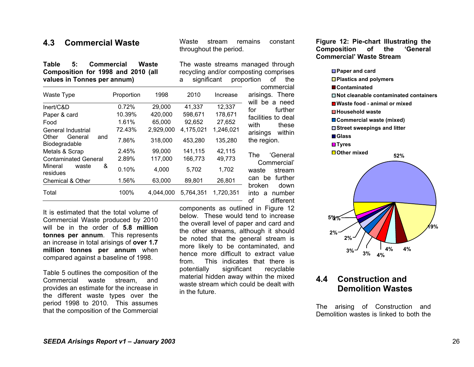## **4.3 Commercial Waste**

**Table 5: Commercial Waste Composition for 1998 and 2010 (all values in Tonnes per annum)** 

Waste stream remains constant throughout the period.

The waste streams managed through recycling and/or composting comprises a significant proportion of the

| Waste Type                               | Proportion | 1998      | 2010      | Increase  | v<br>arisin<br>will b  |
|------------------------------------------|------------|-----------|-----------|-----------|------------------------|
| Inert/C&D                                | 0.72%      | 29,000    | 41,337    | 12,337    | for                    |
| Paper & card                             | 10.39%     | 420,000   | 598,671   | 178,671   | faciliti               |
| Food                                     | 1.61%      | 65,000    | 92,652    | 27,652    | with                   |
| General Industrial                       | 72.43%     | 2,929,000 | 4,175,021 | 1,246,021 | arisin                 |
| Other<br>General<br>and<br>Biodegradable | 7.86%      | 318,000   | 453,280   | 135,280   | the re                 |
| Metals & Scrap                           | 2.45%      | 99,000    | 141,115   | 42,115    |                        |
| <b>Contaminated General</b>              | 2.89%      | 117,000   | 166,773   | 49,773    | <b>The</b>             |
| Mineral<br>&<br>waste<br>residues        | 0.10%      | 4,000     | 5,702     | 1,702     | Сc<br>waste            |
| Chemical & Other                         | 1.56%      | 63,000    | 89,801    | 26,801    | can t                  |
| Total                                    | 100%       | 4,044,000 | 5,764,351 | 1,720,351 | broke<br>into a<br>- - |

It is estimated that the total volume of Commercial Waste produced by 2010 will be in the order of **5.8 million tonnes per annum**. This represents an increase in total arisings of **over 1.7 million tonnes per annum** when compared against a baseline of 1998.

Table 5 outlines the composition of the Commercial waste stream, and provides an estimate for the increase in the different waste types over the period 1998 to 2010. This assumes that the composition of the Commercial commercial gs. There ve a need further ies to deal these as within gion. 'General Commercial'

stream be further broken down a number of different

components as outlined in Figure 12 below. These would tend to increase the overall level of paper and card and the other streams, although it should be noted that the general stream is more likely to be contaminated, and hence more difficult to extract value from. This indicates that there is potentially significant recyclable material hidden away within the mixed waste stream which could be dealt with in the future.

**Figure 12: Pie-chart Illustrating the Composition of the 'General Commercial' Waste Stream** 



# **4.4 Construction and Demolition Wastes**

The arising of Construction and Demolition wastes is linked to both the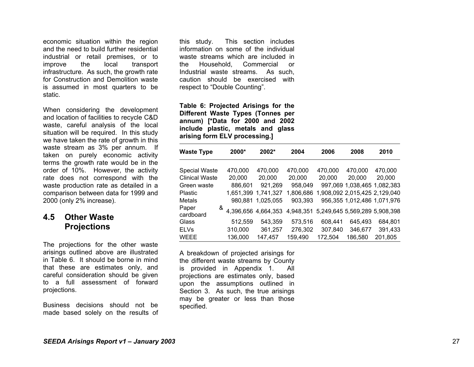economic situation within the region and the need to build further residential industrial or retail premises, or to improve the local transport infrastructure. As such, the growth rate for Construction and Demolition waste is assumed in most quarters to be static.

When considering the development and location of facilities to recycle C&D waste, careful analysis of the local situation will be required. In this study we have taken the rate of growth in this waste stream as 3% per annum. If taken on purely economic activity terms the growth rate would be in the order of 10%. However, the activity rate does not correspond with the waste production rate as detailed in a comparison between data for 1999 and 2000 (only 2% increase).

## **4.5 Other Waste Projections**

The projections for the other waste arisings outlined above are illustrated in Table 6. It should be borne in mind that these are estimates only, and careful consideration should be given to a full assessment of forward projections.

Business decisions should not be made based solely on the results of this study. This section includes information on some of the individual waste streams which are included in the Household, Commercial or Industrial waste streams. As such, caution should be exercised with respect to "Double Counting".

**Table 6: Projected Arisings for the Different Waste Types (Tonnes per annum) [\*Data for 2000 and 2002 include plastic, metals and glass arising form ELV processing.]** 

| <b>Waste Type</b>     |   | 2000*   | 2002*               | 2004                                    | 2006    | 2008                          | 2010    |
|-----------------------|---|---------|---------------------|-----------------------------------------|---------|-------------------------------|---------|
| <b>Special Waste</b>  |   | 470,000 | 470,000             | 470,000                                 | 470,000 | 470,000                       | 470,000 |
| <b>Clinical Waste</b> |   | 20,000  | 20,000              | 20,000                                  | 20,000  | 20,000                        | 20,000  |
| Green waste           |   | 886,601 | 921,269             | 958,049                                 |         | 997,069 1,038,465 1,082,383   |         |
| Plastic               |   |         | 1,651,399 1,741,327 | 1,806,686                               |         | 1,908,092 2,015,425 2,129,040 |         |
| Metals                |   |         | 980,881 1,025,055   | 903,393                                 |         | 956,355 1,012,486 1,071,976   |         |
| Paper<br>cardboard    | & |         | 4,396,656 4,664,353 | 4,948,351 5,249,645 5,569,289 5,908,398 |         |                               |         |
| Glass                 |   | 512,559 | 543,359             | 573,516                                 | 608,441 | 645,493                       | 684,801 |
| <b>ELVs</b>           |   | 310,000 | 361,257             | 276,302                                 | 307,840 | 346,677                       | 391,433 |
| <b>WEEE</b>           |   | 136,000 | 147,457             | 159,490                                 | 172,504 | 186,580                       | 201,805 |

A breakdown of projected arisings for the different waste streams by County is provided in Appendix 1. All projections are estimates only, based upon the assumptions outlined in Section 3. As such, the true arisings may be greater or less than those specified.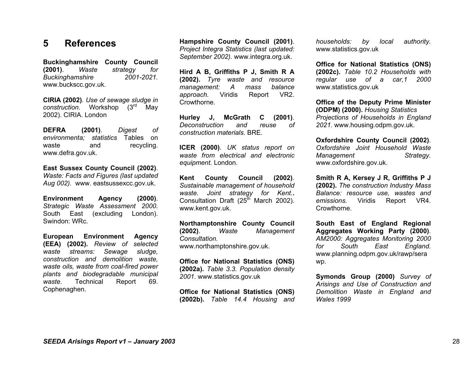## **5 References**

**Buckinghamshire County Council (2001)**. *Waste strategy for Buckinghamshire 2001-2021.*  www.buckscc.gov.uk.

**CIRIA (2002)***. Use of sewage sludge in construction.* Workshop (3rd May 2002). CIRIA. London

**DEFRA (2001)**. *Digest of environmenta; statistics* Tables on waste and recycling. www.defra.gov.uk.

**East Sussex County Council (2002)**. *Waste: Facts and Figures (last updated Aug 002).* www. eastsussexcc.gov.uk.

**Environment Agency (2000)**. *Strategic Waste Assessment 2000.*  South East (excluding London). Swindon: WRc.

**European Environment Agency (EEA) (2002).** *Review of selected waste streams: Sewage sludge, construction and demolition waste, waste oils, waste from coal-fired power plants and biodegradable municipal waste.* Technical Report 69. Cophenaghen.

**Hampshire County Council (2001)**. *Project Integra Statistics (last updated: September 2002).* www.integra.org.uk.

**Hird A B, Griffiths P J, Smith R A (2002).** *Tyre waste and resource management: A mass balance approach.* Viridis Report VR2. Crowthorne.

**Hurley J, McGrath C (2001)***. Deconstruction and reuse of construction materials.* BRE*.* 

**ICER (2000)**. *UK status report on waste from electrical and electronic equipment.* London.

**Kent County Council (2002)**. *Sustainable management of household waste. Joint strategy for Kent.***.**  Consultation Draft (25<sup>th</sup> March 2002). www.kent.gov.uk.

**Northamptonshire County Council (2002)**. *Waste Management Consultation.* www.northamptonshire.gov.uk.

**Office for National Statistics (ONS) (2002a).** *Table 3.3. Population density 2001.* www.statistics.gov.uk

**Office for National Statistics (ONS) (2002b).** *Table 14.4 Housing and*  *households: by local authority.* www.statistics.gov.uk

**Office for National Statistics (ONS) (2002c).** *Table 10.2 Households with regular use of a car,1 2000*  www.statistics.gov.uk

**Office of the Deputy Prime Minister (ODPM) (2000).** *Housing Statistics Projections of Households in England 2021.* www.housing.odpm.gov.uk.

**Oxfordshire County Council (2002)**. *Oxfordshire Joint Household Waste Management Strategy.*  www.oxfordshire.gov.uk.

**Smith R A, Kersey J R, Griffiths P J (2002).** *The construction Industry Mass Balance: resource use, wastes and emissions.* Viridis Report VR4. Crowthorne.

**South East of England Regional Aggregates Working Party (2000)**. *AM2000: Aggregates Monitoring 2000 for South East England.*  www.planning.odpm.gov.uk/rawp/sera wp.

**Symonds Group (2000)** *Survey of Arisings and Use of Construction and Demolition Waste in England and Wales 1999*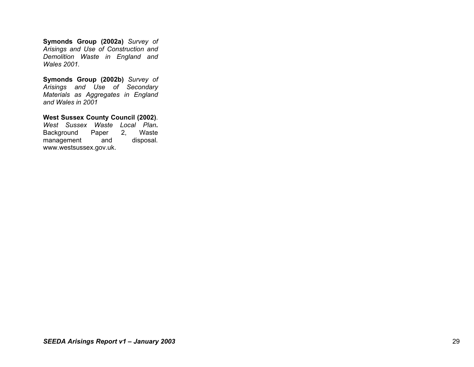**Symonds Group (2002a)** *Survey of Arisings and Use of Construction and Demolition Waste in England and Wales 2001.* 

**Symonds Group (2002b)** *Survey of Arisings and Use of Secondary Materials as Aggregates in England and Wales in 2001*

**West Sussex County Council (2002)**. *West Sussex Waste Local Plan***.** 

Background Paper 2, Waste<br>management and disposal. management and www.westsussex.gov.uk.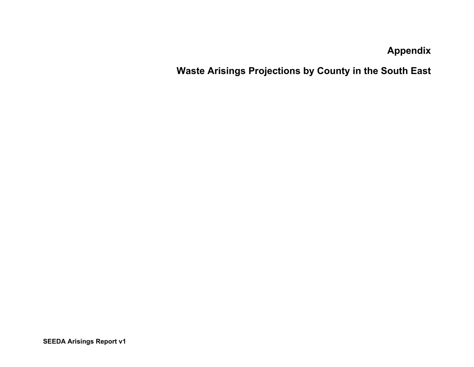**Appendix** 

**Waste Arisings Projections by County in the South East**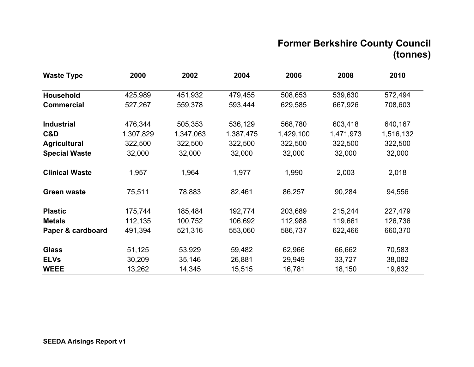# **Former Berkshire County Council (tonnes)**

| <b>Waste Type</b>     | 2000      | 2002      | 2004      | 2006      | 2008      | 2010      |
|-----------------------|-----------|-----------|-----------|-----------|-----------|-----------|
| Household             | 425,989   | 451,932   | 479,455   | 508,653   | 539,630   | 572,494   |
| <b>Commercial</b>     | 527,267   | 559,378   | 593,444   | 629,585   | 667,926   | 708,603   |
| <b>Industrial</b>     | 476,344   | 505,353   | 536,129   | 568,780   | 603,418   | 640,167   |
| C&D                   | 1,307,829 | 1,347,063 | 1,387,475 | 1,429,100 | 1,471,973 | 1,516,132 |
| <b>Agricultural</b>   | 322,500   | 322,500   | 322,500   | 322,500   | 322,500   | 322,500   |
| <b>Special Waste</b>  | 32,000    | 32,000    | 32,000    | 32,000    | 32,000    | 32,000    |
| <b>Clinical Waste</b> | 1,957     | 1,964     | 1,977     | 1,990     | 2,003     | 2,018     |
| <b>Green waste</b>    | 75,511    | 78,883    | 82,461    | 86,257    | 90,284    | 94,556    |
| <b>Plastic</b>        | 175,744   | 185,484   | 192,774   | 203,689   | 215,244   | 227,479   |
| <b>Metals</b>         | 112,135   | 100,752   | 106,692   | 112,988   | 119,661   | 126,736   |
| Paper & cardboard     | 491,394   | 521,316   | 553,060   | 586,737   | 622,466   | 660,370   |
| <b>Glass</b>          | 51,125    | 53,929    | 59,482    | 62,966    | 66,662    | 70,583    |
| <b>ELVs</b>           | 30,209    | 35,146    | 26,881    | 29,949    | 33,727    | 38,082    |
| <b>WEEE</b>           | 13,262    | 14,345    | 15,515    | 16,781    | 18,150    | 19,632    |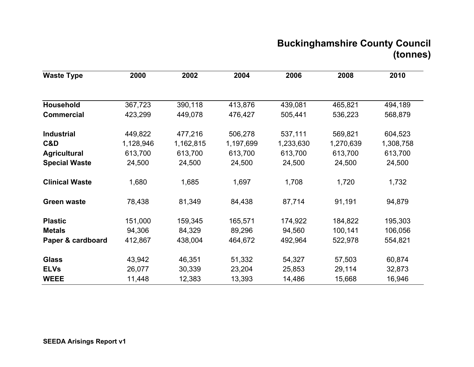# **Buckinghamshire County Council (tonnes)**

| <b>Waste Type</b>     | 2000      | 2002      | 2004      | 2006      | 2008      | 2010      |
|-----------------------|-----------|-----------|-----------|-----------|-----------|-----------|
|                       |           |           |           |           |           |           |
| Household             | 367,723   | 390,118   | 413,876   | 439,081   | 465,821   | 494,189   |
| <b>Commercial</b>     | 423,299   | 449,078   | 476,427   | 505,441   | 536,223   | 568,879   |
| <b>Industrial</b>     | 449,822   | 477,216   | 506,278   | 537,111   | 569,821   | 604,523   |
| C&D                   | 1,128,946 | 1,162,815 | 1,197,699 | 1,233,630 | 1,270,639 | 1,308,758 |
| <b>Agricultural</b>   | 613,700   | 613,700   | 613,700   | 613,700   | 613,700   | 613,700   |
| <b>Special Waste</b>  | 24,500    | 24,500    | 24,500    | 24,500    | 24,500    | 24,500    |
| <b>Clinical Waste</b> | 1,680     | 1,685     | 1,697     | 1,708     | 1,720     | 1,732     |
| <b>Green waste</b>    | 78,438    | 81,349    | 84,438    | 87,714    | 91,191    | 94,879    |
| <b>Plastic</b>        | 151,000   | 159,345   | 165,571   | 174,922   | 184,822   | 195,303   |
| <b>Metals</b>         | 94,306    | 84,329    | 89,296    | 94,560    | 100,141   | 106,056   |
| Paper & cardboard     | 412,867   | 438,004   | 464,672   | 492,964   | 522,978   | 554,821   |
| <b>Glass</b>          | 43,942    | 46,351    | 51,332    | 54,327    | 57,503    | 60,874    |
| <b>ELVs</b>           | 26,077    | 30,339    | 23,204    | 25,853    | 29,114    | 32,873    |
| <b>WEEE</b>           | 11,448    | 12,383    | 13,393    | 14,486    | 15,668    | 16,946    |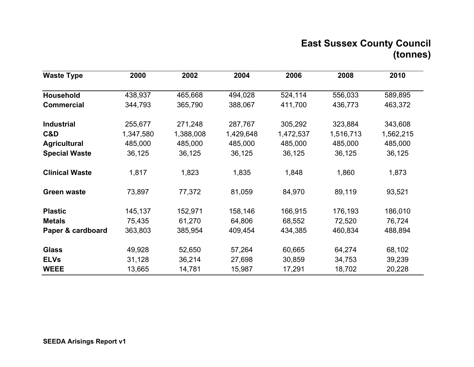# **East Sussex County Council (tonnes)**

| <b>Waste Type</b>     | 2000      | 2002      | 2004      | 2006      | 2008      | 2010      |
|-----------------------|-----------|-----------|-----------|-----------|-----------|-----------|
| Household             | 438,937   | 465,668   | 494,028   | 524,114   | 556,033   | 589,895   |
| <b>Commercial</b>     | 344,793   | 365,790   | 388,067   | 411,700   | 436,773   | 463,372   |
| <b>Industrial</b>     | 255,677   | 271,248   | 287,767   | 305,292   | 323,884   | 343,608   |
| C&D                   | 1,347,580 | 1,388,008 | 1,429,648 | 1,472,537 | 1,516,713 | 1,562,215 |
| <b>Agricultural</b>   | 485,000   | 485,000   | 485,000   | 485,000   | 485,000   | 485,000   |
| <b>Special Waste</b>  | 36,125    | 36,125    | 36,125    | 36,125    | 36,125    | 36,125    |
| <b>Clinical Waste</b> | 1,817     | 1,823     | 1,835     | 1,848     | 1,860     | 1,873     |
| <b>Green waste</b>    | 73,897    | 77,372    | 81,059    | 84,970    | 89,119    | 93,521    |
| <b>Plastic</b>        | 145,137   | 152,971   | 158,146   | 166,915   | 176,193   | 186,010   |
| <b>Metals</b>         | 75,435    | 61,270    | 64,806    | 68,552    | 72,520    | 76,724    |
| Paper & cardboard     | 363,803   | 385,954   | 409,454   | 434,385   | 460,834   | 488,894   |
| <b>Glass</b>          | 49,928    | 52,650    | 57,264    | 60,665    | 64,274    | 68,102    |
| <b>ELVs</b>           | 31,128    | 36,214    | 27,698    | 30,859    | 34,753    | 39,239    |
| <b>WEEE</b>           | 13,665    | 14,781    | 15,987    | 17,291    | 18,702    | 20,228    |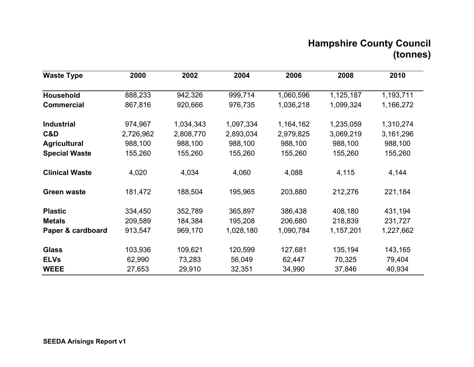# **Hampshire County Council (tonnes)**

| <b>Waste Type</b>     | 2000      | 2002      | 2004      | 2006      | 2008      | 2010      |
|-----------------------|-----------|-----------|-----------|-----------|-----------|-----------|
| Household             | 888,233   | 942,326   | 999,714   | 1,060,596 | 1,125,187 | 1,193,711 |
| <b>Commercial</b>     | 867,816   | 920,666   | 976,735   | 1,036,218 | 1,099,324 | 1,166,272 |
| <b>Industrial</b>     | 974,967   | 1,034,343 | 1,097,334 | 1,164,162 | 1,235,059 | 1,310,274 |
| C&D                   | 2,726,962 | 2,808,770 | 2,893,034 | 2,979,825 | 3,069,219 | 3,161,296 |
| <b>Agricultural</b>   | 988,100   | 988,100   | 988,100   | 988,100   | 988,100   | 988,100   |
| <b>Special Waste</b>  | 155,260   | 155,260   | 155,260   | 155,260   | 155,260   | 155,260   |
| <b>Clinical Waste</b> | 4,020     | 4,034     | 4,060     | 4,088     | 4,115     | 4,144     |
| <b>Green waste</b>    | 181,472   | 188,504   | 195,965   | 203,880   | 212,276   | 221,184   |
| <b>Plastic</b>        | 334,450   | 352,789   | 365,897   | 386,438   | 408,180   | 431,194   |
| <b>Metals</b>         | 209,589   | 184,384   | 195,208   | 206,680   | 218,839   | 231,727   |
| Paper & cardboard     | 913,547   | 969,170   | 1,028,180 | 1,090,784 | 1,157,201 | 1,227,662 |
| <b>Glass</b>          | 103,936   | 109,621   | 120,599   | 127,681   | 135,194   | 143,165   |
| <b>ELVs</b>           | 62,990    | 73,283    | 56,049    | 62,447    | 70,325    | 79,404    |
| <b>WEEE</b>           | 27,653    | 29,910    | 32,351    | 34,990    | 37,846    | 40,934    |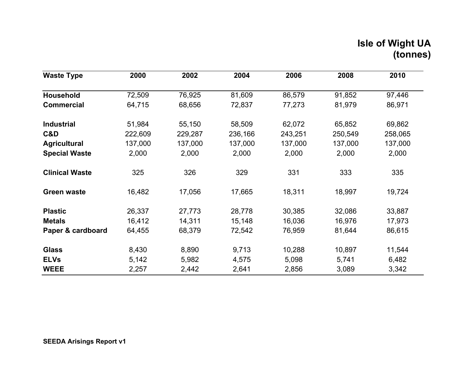# **Isle of Wight UA (tonnes)**

| <b>Waste Type</b>     | 2000    | 2002    | 2004    | 2006    | 2008    | 2010    |
|-----------------------|---------|---------|---------|---------|---------|---------|
| Household             | 72,509  | 76,925  | 81,609  | 86,579  | 91,852  | 97,446  |
| <b>Commercial</b>     | 64,715  | 68,656  | 72,837  | 77,273  | 81,979  | 86,971  |
| <b>Industrial</b>     | 51,984  | 55,150  | 58,509  | 62,072  | 65,852  | 69,862  |
| C&D                   | 222,609 | 229,287 | 236,166 | 243,251 | 250,549 | 258,065 |
| <b>Agricultural</b>   | 137,000 | 137,000 | 137,000 | 137,000 | 137,000 | 137,000 |
| <b>Special Waste</b>  | 2,000   | 2,000   | 2,000   | 2,000   | 2,000   | 2,000   |
| <b>Clinical Waste</b> | 325     | 326     | 329     | 331     | 333     | 335     |
| <b>Green waste</b>    | 16,482  | 17,056  | 17,665  | 18,311  | 18,997  | 19,724  |
| <b>Plastic</b>        | 26,337  | 27,773  | 28,778  | 30,385  | 32,086  | 33,887  |
| <b>Metals</b>         | 16,412  | 14,311  | 15,148  | 16,036  | 16,976  | 17,973  |
| Paper & cardboard     | 64,455  | 68,379  | 72,542  | 76,959  | 81,644  | 86,615  |
| <b>Glass</b>          | 8,430   | 8,890   | 9,713   | 10,288  | 10,897  | 11,544  |
| <b>ELVs</b>           | 5,142   | 5,982   | 4,575   | 5,098   | 5,741   | 6,482   |
| <b>WEEE</b>           | 2,257   | 2,442   | 2,641   | 2,856   | 3,089   | 3,342   |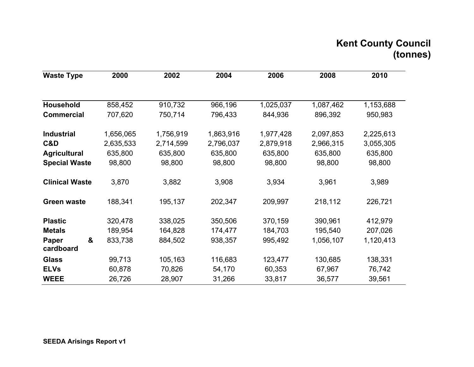# **Kent County Council (tonnes)**

| <b>Waste Type</b>       | 2000      | 2002      | 2004      | 2006      | 2008      | 2010      |
|-------------------------|-----------|-----------|-----------|-----------|-----------|-----------|
|                         |           |           |           |           |           |           |
| <b>Household</b>        | 858,452   | 910,732   | 966,196   | 1,025,037 | 1,087,462 | 1,153,688 |
| <b>Commercial</b>       | 707,620   | 750,714   | 796,433   | 844,936   | 896,392   | 950,983   |
| <b>Industrial</b>       | 1,656,065 | 1,756,919 | 1,863,916 | 1,977,428 | 2,097,853 | 2,225,613 |
| C&D                     | 2,635,533 | 2,714,599 | 2,796,037 | 2,879,918 | 2,966,315 | 3,055,305 |
| <b>Agricultural</b>     | 635,800   | 635,800   | 635,800   | 635,800   | 635,800   | 635,800   |
| <b>Special Waste</b>    | 98,800    | 98,800    | 98,800    | 98,800    | 98,800    | 98,800    |
| <b>Clinical Waste</b>   | 3,870     | 3,882     | 3,908     | 3,934     | 3,961     | 3,989     |
| <b>Green waste</b>      | 188,341   | 195,137   | 202,347   | 209,997   | 218,112   | 226,721   |
| <b>Plastic</b>          | 320,478   | 338,025   | 350,506   | 370,159   | 390,961   | 412,979   |
| <b>Metals</b>           | 189,954   | 164,828   | 174,477   | 184,703   | 195,540   | 207,026   |
| &<br>Paper<br>cardboard | 833,738   | 884,502   | 938,357   | 995,492   | 1,056,107 | 1,120,413 |
| <b>Glass</b>            | 99,713    | 105,163   | 116,683   | 123,477   | 130,685   | 138,331   |
| <b>ELVs</b>             | 60,878    | 70,826    | 54,170    | 60,353    | 67,967    | 76,742    |
| <b>WEEE</b>             | 26,726    | 28,907    | 31,266    | 33,817    | 36,577    | 39,561    |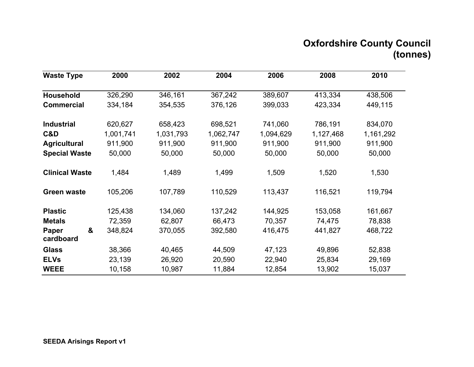# **Oxfordshire County Council (tonnes)**

| <b>Waste Type</b>       | 2000      | 2002      | 2004      | 2006      | 2008      | 2010      |
|-------------------------|-----------|-----------|-----------|-----------|-----------|-----------|
| <b>Household</b>        | 326,290   | 346,161   | 367,242   | 389,607   | 413,334   | 438,506   |
| <b>Commercial</b>       | 334,184   | 354,535   | 376,126   | 399,033   | 423,334   | 449,115   |
| <b>Industrial</b>       | 620,627   | 658,423   | 698,521   | 741,060   | 786,191   | 834,070   |
| C&D                     | 1,001,741 | 1,031,793 | 1,062,747 | 1,094,629 | 1,127,468 | 1,161,292 |
| <b>Agricultural</b>     | 911,900   | 911,900   | 911,900   | 911,900   | 911,900   | 911,900   |
| <b>Special Waste</b>    | 50,000    | 50,000    | 50,000    | 50,000    | 50,000    | 50,000    |
| <b>Clinical Waste</b>   | 1,484     | 1,489     | 1,499     | 1,509     | 1,520     | 1,530     |
| Green waste             | 105,206   | 107,789   | 110,529   | 113,437   | 116,521   | 119,794   |
| <b>Plastic</b>          | 125,438   | 134,060   | 137,242   | 144,925   | 153,058   | 161,667   |
| <b>Metals</b>           | 72,359    | 62,807    | 66,473    | 70,357    | 74,475    | 78,838    |
| &<br>Paper<br>cardboard | 348,824   | 370,055   | 392,580   | 416,475   | 441,827   | 468,722   |
| <b>Glass</b>            | 38,366    | 40,465    | 44,509    | 47,123    | 49,896    | 52,838    |
| <b>ELVs</b>             | 23,139    | 26,920    | 20,590    | 22,940    | 25,834    | 29,169    |
| <b>WEEE</b>             | 10,158    | 10,987    | 11,884    | 12,854    | 13,902    | 15,037    |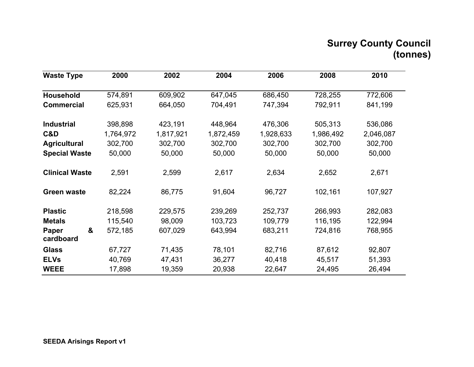# **Surrey County Council (tonnes)**

| <b>Waste Type</b>              | 2000      | 2002      | 2004      | 2006      | 2008      | 2010      |
|--------------------------------|-----------|-----------|-----------|-----------|-----------|-----------|
| Household                      | 574,891   | 609,902   | 647,045   | 686,450   | 728,255   | 772,606   |
| <b>Commercial</b>              | 625,931   | 664,050   | 704,491   | 747,394   | 792,911   | 841,199   |
| <b>Industrial</b>              | 398,898   | 423,191   | 448,964   | 476,306   | 505,313   | 536,086   |
| C&D                            | 1,764,972 | 1,817,921 | 1,872,459 | 1,928,633 | 1,986,492 | 2,046,087 |
| <b>Agricultural</b>            | 302,700   | 302,700   | 302,700   | 302,700   | 302,700   | 302,700   |
| <b>Special Waste</b>           | 50,000    | 50,000    | 50,000    | 50,000    | 50,000    | 50,000    |
| <b>Clinical Waste</b>          | 2,591     | 2,599     | 2,617     | 2,634     | 2,652     | 2,671     |
| <b>Green waste</b>             | 82,224    | 86,775    | 91,604    | 96,727    | 102,161   | 107,927   |
| <b>Plastic</b>                 | 218,598   | 229,575   | 239,269   | 252,737   | 266,993   | 282,083   |
| <b>Metals</b>                  | 115,540   | 98,009    | 103,723   | 109,779   | 116,195   | 122,994   |
| &<br><b>Paper</b><br>cardboard | 572,185   | 607,029   | 643,994   | 683,211   | 724,816   | 768,955   |
| <b>Glass</b>                   | 67,727    | 71,435    | 78,101    | 82,716    | 87,612    | 92,807    |
| <b>ELVs</b>                    | 40,769    | 47,431    | 36,277    | 40,418    | 45,517    | 51,393    |
| <b>WEEE</b>                    | 17,898    | 19,359    | 20,938    | 22,647    | 24,495    | 26,494    |